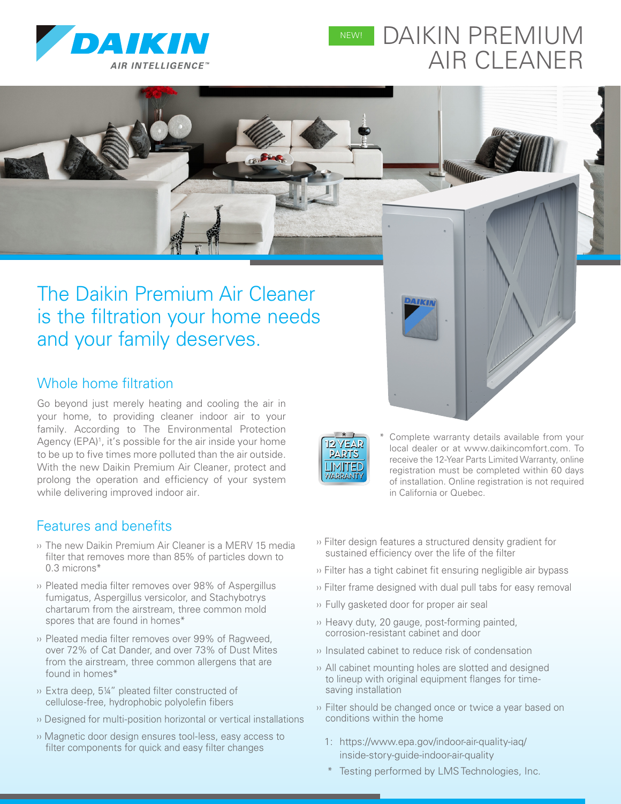

# DAIKIN PREMIUM AIR CLEANER NEW!

# The Daikin Premium Air Cleaner is the filtration your home needs and your family deserves.

### Whole home filtration

Go beyond just merely heating and cooling the air in your home, to providing cleaner indoor air to your family. According to The Environmental Protection Agency (EPA)<sup>1</sup>, it's possible for the air inside your home to be up to five times more polluted than the air outside. With the new Daikin Premium Air Cleaner, protect and prolong the operation and efficiency of your system while delivering improved indoor air.

#### Features and benefits

- ›› The new Daikin Premium Air Cleaner is a MERV 15 media filter that removes more than 85% of particles down to 0.3 microns\*
- ›› Pleated media filter removes over 98% of Aspergillus fumigatus, Aspergillus versicolor, and Stachybotrys chartarum from the airstream, three common mold spores that are found in homes\*
- ›› Pleated media filter removes over 99% of Ragweed, over 72% of Cat Dander, and over 73% of Dust Mites from the airstream, three common allergens that are found in homes\*
- ›› Extra deep, 5¼" pleated filter constructed of cellulose-free, hydrophobic polyolefin fibers
- ›› Designed for multi-position horizontal or vertical installations
- ›› Magnetic door design ensures tool-less, easy access to filter components for quick and easy filter changes

Complete warranty details available from your local dealer or at www.daikincomfort.com. To receive the 12-Year Parts Limited Warranty, online registration must be completed within 60 days of installation. Online registration is not required in California or Quebec.

- ›› Filter design features a structured density gradient for sustained efficiency over the life of the filter
- ›› Filter has a tight cabinet fit ensuring negligible air bypass
- ›› Filter frame designed with dual pull tabs for easy removal
- ›› Fully gasketed door for proper air seal
- ›› Heavy duty, 20 gauge, post-forming painted, corrosion-resistant cabinet and door
- ›› Insulated cabinet to reduce risk of condensation
- ›› All cabinet mounting holes are slotted and designed to lineup with original equipment flanges for timesaving installation
- ›› Filter should be changed once or twice a year based on conditions within the home
	- 1: https://www.epa.gov/indoor-air-quality-iaq/ inside-story-guide-indoor-air-quality
	- Testing performed by LMS Technologies, Inc.